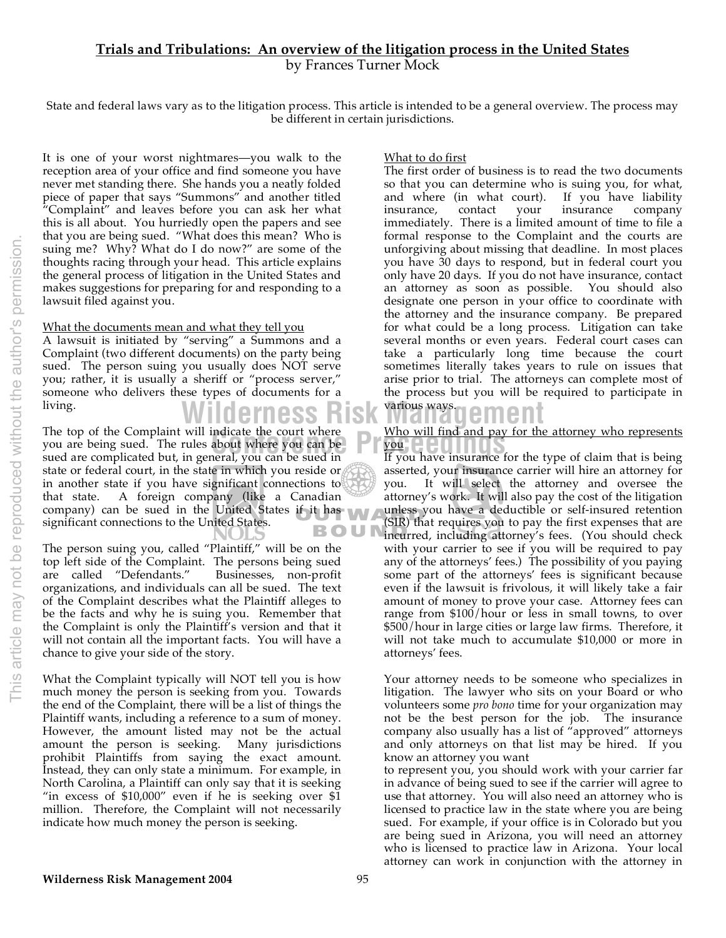# **Trials and Tribulations: An overview of the litigation process in the United States** by Frances Turner Mock

State and federal laws vary as to the litigation process. This article is intended to be a general overview. The process may be different in certain jurisdictions.

It is one of your worst nightmares—you walk to the reception area of your office and find someone you have never met standing there. She hands you a neatly folded piece of paper that says "Summons" and another titled "Complaint" and leaves before you can ask her what this is all about. You hurriedly open the papers and see that you are being sued. "What does this mean? Who is suing me? Why? What do I do now?" are some of the thoughts racing through your head. This article explains the general process of litigation in the United States and makes suggestions for preparing for and responding to a lawsuit filed against you.

#### What the documents mean and what they tell you

A lawsuit is initiated by "serving" a Summons and a Complaint (two different documents) on the party being sued. The person suing you usually does NOT serve you; rather, it is usually a sheriff or "process server," someone who delivers these types of documents for a living.

The top of the Complaint will indicate the court where malcate the court where<br>about where you can be<br>everal you can be sued in you are being sued. The rules about where you can be sued are complicated but, in general, you can be sued in state or federal court, in the state in which you reside or in another state if you have significant connections to that state. A foreign company (like a Canadian company) can be sued in the United States if it has significant connections to the United States. BOU

The person suing you, called "Plaintiff," will be on the top left side of the Complaint. The persons being sued are called "Defendants." Businesses, non-profit organizations, and individuals can all be sued. The text of the Complaint describes what the Plaintiff alleges to be the facts and why he is suing you. Remember that the Complaint is only the Plaintiff's version and that it will not contain all the important facts. You will have a chance to give your side of the story.

What the Complaint typically will NOT tell you is how much money the person is seeking from you. Towards the end of the Complaint, there will be a list of things the Plaintiff wants, including a reference to a sum of money. However, the amount listed may not be the actual amount the person is seeking. Many jurisdictions prohibit Plaintiffs from saying the exact amount. Instead, they can only state a minimum. For example, in North Carolina, a Plaintiff can only say that it is seeking "in excess of  $$10,000"$  even if he is seeking over  $$1$ million. Therefore, the Complaint will not necessarily indicate how much money the person is seeking.

#### What to do first

The first order of business is to read the two documents so that you can determine who is suing you, for what, and where (in what court). If you have liability insurance, contact your insurance company immediately. There is a limited amount of time to file a formal response to the Complaint and the courts are unforgiving about missing that deadline. In most places you have 30 days to respond, but in federal court you only have 20 days. If you do not have insurance, contact an attorney as soon as possible. You should also designate one person in your office to coordinate with the attorney and the insurance company. Be prepared for what could be a long process. Litigation can take several months or even years. Federal court cases can take a particularly long time because the court sometimes literally takes years to rule on issues that arise prior to trial. The attorneys can complete most of the process but you will be required to participate in

# Wilderness Risk Wänagement

Who will find and pay for the attorney who represents

If you have insurance for the type of claim that is being asserted, your insurance carrier will hire an attorney for you. It will select the attorney and oversee the attorney's work. It will also pay the cost of the litigation unless you have a deductible or self-insured retention (SIR) that requires you to pay the first expenses that are incurred, including attorney's fees. (You should check with your carrier to see if you will be required to pay any of the attorneys' fees.) The possibility of you paying some part of the attorneys' fees is significant because even if the lawsuit is frivolous, it will likely take a fair amount of money to prove your case. Attorney fees can range from \$100/hour or less in small towns, to over \$500/hour in large cities or large law firms. Therefore, it will not take much to accumulate \$10,000 or more in attorneys' fees.

Your attorney needs to be someone who specializes in litigation. The lawyer who sits on your Board or who volunteers some *pro bono* time for your organization may not be the best person for the job. The insurance company also usually has a list of "approved" attorneys and only attorneys on that list may be hired. If you know an attorney you want

to represent you, you should work with your carrier far in advance of being sued to see if the carrier will agree to use that attorney. You will also need an attorney who is licensed to practice law in the state where you are being sued. For example, if your office is in Colorado but you are being sued in Arizona, you will need an attorney who is licensed to practice law in Arizona. Your local attorney can work in conjunction with the attorney in